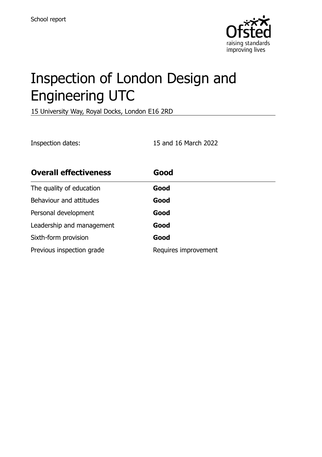

# Inspection of London Design and Engineering UTC

15 University Way, Royal Docks, London E16 2RD

Inspection dates: 15 and 16 March 2022

| <b>Overall effectiveness</b> | Good                 |
|------------------------------|----------------------|
| The quality of education     | Good                 |
| Behaviour and attitudes      | Good                 |
| Personal development         | Good                 |
| Leadership and management    | Good                 |
| Sixth-form provision         | Good                 |
| Previous inspection grade    | Requires improvement |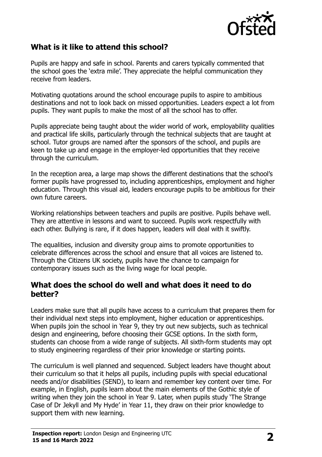

# **What is it like to attend this school?**

Pupils are happy and safe in school. Parents and carers typically commented that the school goes the 'extra mile'. They appreciate the helpful communication they receive from leaders.

Motivating quotations around the school encourage pupils to aspire to ambitious destinations and not to look back on missed opportunities. Leaders expect a lot from pupils. They want pupils to make the most of all the school has to offer.

Pupils appreciate being taught about the wider world of work, employability qualities and practical life skills, particularly through the technical subjects that are taught at school. Tutor groups are named after the sponsors of the school, and pupils are keen to take up and engage in the employer-led opportunities that they receive through the curriculum.

In the reception area, a large map shows the different destinations that the school's former pupils have progressed to, including apprenticeships, employment and higher education. Through this visual aid, leaders encourage pupils to be ambitious for their own future careers.

Working relationships between teachers and pupils are positive. Pupils behave well. They are attentive in lessons and want to succeed. Pupils work respectfully with each other. Bullying is rare, if it does happen, leaders will deal with it swiftly.

The equalities, inclusion and diversity group aims to promote opportunities to celebrate differences across the school and ensure that all voices are listened to. Through the Citizens UK society, pupils have the chance to campaign for contemporary issues such as the living wage for local people.

#### **What does the school do well and what does it need to do better?**

Leaders make sure that all pupils have access to a curriculum that prepares them for their individual next steps into employment, higher education or apprenticeships. When pupils join the school in Year 9, they try out new subjects, such as technical design and engineering, before choosing their GCSE options. In the sixth form, students can choose from a wide range of subjects. All sixth-form students may opt to study engineering regardless of their prior knowledge or starting points.

The curriculum is well planned and sequenced. Subject leaders have thought about their curriculum so that it helps all pupils, including pupils with special educational needs and/or disabilities (SEND), to learn and remember key content over time. For example, in English, pupils learn about the main elements of the Gothic style of writing when they join the school in Year 9. Later, when pupils study 'The Strange Case of Dr Jekyll and My Hyde' in Year 11, they draw on their prior knowledge to support them with new learning.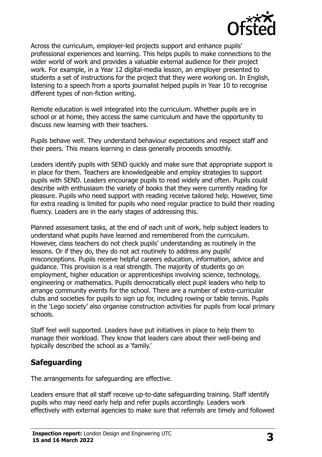

Across the curriculum, employer-led projects support and enhance pupils' professional experiences and learning. This helps pupils to make connections to the wider world of work and provides a valuable external audience for their project work. For example, in a Year 12 digital-media lesson, an employer presented to students a set of instructions for the project that they were working on. In English, listening to a speech from a sports journalist helped pupils in Year 10 to recognise different types of non-fiction writing.

Remote education is well integrated into the curriculum. Whether pupils are in school or at home, they access the same curriculum and have the opportunity to discuss new learning with their teachers.

Pupils behave well. They understand behaviour expectations and respect staff and their peers. This means learning in class generally proceeds smoothly.

Leaders identify pupils with SEND quickly and make sure that appropriate support is in place for them. Teachers are knowledgeable and employ strategies to support pupils with SEND. Leaders encourage pupils to read widely and often. Pupils could describe with enthusiasm the variety of books that they were currently reading for pleasure. Pupils who need support with reading receive tailored help. However, time for extra reading is limited for pupils who need regular practice to build their reading fluency. Leaders are in the early stages of addressing this.

Planned assessment tasks, at the end of each unit of work, help subject leaders to understand what pupils have learned and remembered from the curriculum. However, class teachers do not check pupils' understanding as routinely in the lessons. Or if they do, they do not act routinely to address any pupils' misconceptions. Pupils receive helpful careers education, information, advice and guidance. This provision is a real strength. The majority of students go on employment, higher education or apprenticeships involving science, technology, engineering or mathematics. Pupils democratically elect pupil leaders who help to arrange community events for the school. There are a number of extra-curricular clubs and societies for pupils to sign up for, including rowing or table tennis. Pupils in the 'Lego society' also organise construction activities for pupils from local primary schools.

Staff feel well supported. Leaders have put initiatives in place to help them to manage their workload. They know that leaders care about their well-being and typically described the school as a 'family.'

# **Safeguarding**

The arrangements for safeguarding are effective.

Leaders ensure that all staff receive up-to-date safeguarding training. Staff identify pupils who may need early help and refer pupils accordingly. Leaders work effectively with external agencies to make sure that referrals are timely and followed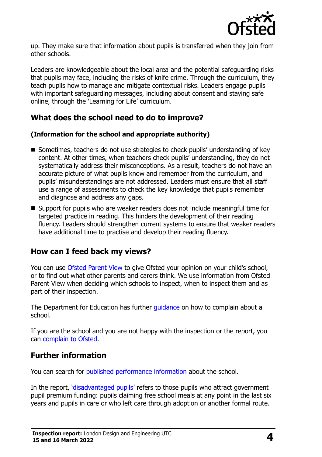

up. They make sure that information about pupils is transferred when they join from other schools.

Leaders are knowledgeable about the local area and the potential safeguarding risks that pupils may face, including the risks of knife crime. Through the curriculum, they teach pupils how to manage and mitigate contextual risks. Leaders engage pupils with important safeguarding messages, including about consent and staving safe online, through the 'Learning for Life' curriculum.

# **What does the school need to do to improve?**

#### **(Information for the school and appropriate authority)**

- Sometimes, teachers do not use strategies to check pupils' understanding of key content. At other times, when teachers check pupils' understanding, they do not systematically address their misconceptions. As a result, teachers do not have an accurate picture of what pupils know and remember from the curriculum, and pupils' misunderstandings are not addressed. Leaders must ensure that all staff use a range of assessments to check the key knowledge that pupils remember and diagnose and address any gaps.
- Support for pupils who are weaker readers does not include meaningful time for targeted practice in reading. This hinders the development of their reading fluency. Leaders should strengthen current systems to ensure that weaker readers have additional time to practise and develop their reading fluency.

## **How can I feed back my views?**

You can use [Ofsted Parent View](http://parentview.ofsted.gov.uk/) to give Ofsted your opinion on your child's school, or to find out what other parents and carers think. We use information from Ofsted Parent View when deciding which schools to inspect, when to inspect them and as part of their inspection.

The Department for Education has further [guidance](http://www.gov.uk/complain-about-school) on how to complain about a school.

If you are the school and you are not happy with the inspection or the report, you can [complain to Ofsted.](http://www.gov.uk/complain-ofsted-report)

## **Further information**

You can search for [published performance information](http://www.compare-school-performance.service.gov.uk/) about the school.

In the report, '[disadvantaged pupils](http://www.gov.uk/guidance/pupil-premium-information-for-schools-and-alternative-provision-settings)' refers to those pupils who attract government pupil premium funding: pupils claiming free school meals at any point in the last six years and pupils in care or who left care through adoption or another formal route.

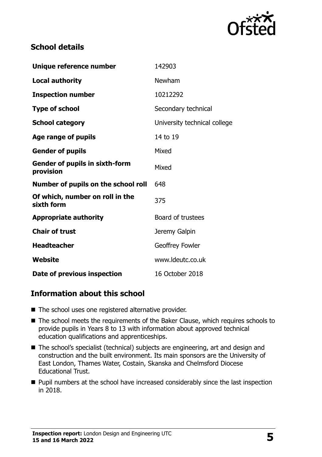

# **School details**

| Unique reference number                            | 142903                       |
|----------------------------------------------------|------------------------------|
| <b>Local authority</b>                             | Newham                       |
| <b>Inspection number</b>                           | 10212292                     |
| <b>Type of school</b>                              | Secondary technical          |
| <b>School category</b>                             | University technical college |
| Age range of pupils                                | 14 to 19                     |
| <b>Gender of pupils</b>                            | Mixed                        |
| <b>Gender of pupils in sixth-form</b><br>provision | Mixed                        |
| Number of pupils on the school roll                | 648                          |
| Of which, number on roll in the<br>sixth form      | 375                          |
| <b>Appropriate authority</b>                       | Board of trustees            |
| <b>Chair of trust</b>                              | Jeremy Galpin                |
| <b>Headteacher</b>                                 | Geoffrey Fowler              |
| Website                                            | www.ldeutc.co.uk             |
| Date of previous inspection                        | 16 October 2018              |

# **Information about this school**

- The school uses one registered alternative provider.
- The school meets the requirements of the Baker Clause, which requires schools to provide pupils in Years 8 to 13 with information about approved technical education qualifications and apprenticeships.
- The school's specialist (technical) subjects are engineering, art and design and construction and the built environment. Its main sponsors are the University of East London, Thames Water, Costain, Skanska and Chelmsford Diocese Educational Trust.
- Pupil numbers at the school have increased considerably since the last inspection in 2018.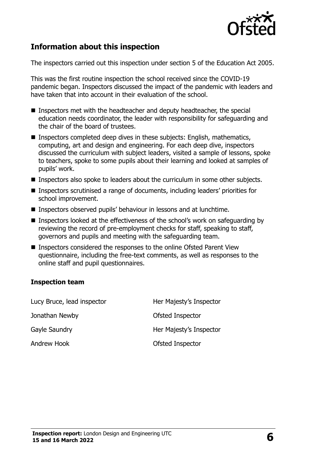

# **Information about this inspection**

The inspectors carried out this inspection under section 5 of the Education Act 2005.

This was the first routine inspection the school received since the COVID-19 pandemic began. Inspectors discussed the impact of the pandemic with leaders and have taken that into account in their evaluation of the school.

- Inspectors met with the headteacher and deputy headteacher, the special education needs coordinator, the leader with responsibility for safeguarding and the chair of the board of trustees.
- Inspectors completed deep dives in these subjects: English, mathematics, computing, art and design and engineering. For each deep dive, inspectors discussed the curriculum with subject leaders, visited a sample of lessons, spoke to teachers, spoke to some pupils about their learning and looked at samples of pupils' work.
- Inspectors also spoke to leaders about the curriculum in some other subjects.
- Inspectors scrutinised a range of documents, including leaders' priorities for school improvement.
- Inspectors observed pupils' behaviour in lessons and at lunchtime.
- Inspectors looked at the effectiveness of the school's work on safeguarding by reviewing the record of pre-employment checks for staff, speaking to staff, governors and pupils and meeting with the safeguarding team.
- Inspectors considered the responses to the online Ofsted Parent View questionnaire, including the free-text comments, as well as responses to the online staff and pupil questionnaires.

#### **Inspection team**

| Lucy Bruce, lead inspector | Her Majesty's Inspector |
|----------------------------|-------------------------|
| Jonathan Newby             | Ofsted Inspector        |
| Gayle Saundry              | Her Majesty's Inspector |
| Andrew Hook                | Ofsted Inspector        |